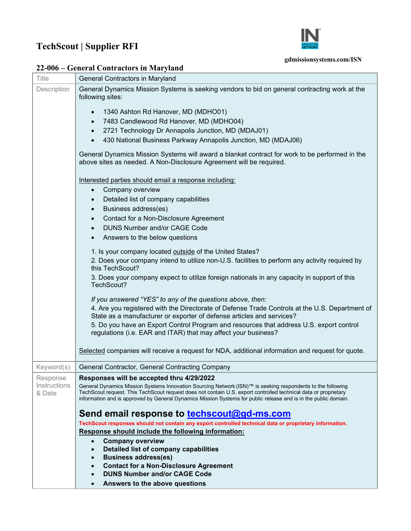## **TechScout | Supplier RFI**



## **gdmissionsystems.com/ISN**

## **22-006 – General Contractors in Maryland**

| Title                  | General Contractors in Maryland                                                                                                                                                                                                                                                                                                                   |
|------------------------|---------------------------------------------------------------------------------------------------------------------------------------------------------------------------------------------------------------------------------------------------------------------------------------------------------------------------------------------------|
| Description            | General Dynamics Mission Systems is seeking vendors to bid on general contracting work at the<br>following sites:                                                                                                                                                                                                                                 |
|                        | 1340 Ashton Rd Hanover, MD (MDHO01)                                                                                                                                                                                                                                                                                                               |
|                        | 7483 Candlewood Rd Hanover, MD (MDHO04)<br>$\bullet$                                                                                                                                                                                                                                                                                              |
|                        | 2721 Technology Dr Annapolis Junction, MD (MDAJ01)<br>$\bullet$                                                                                                                                                                                                                                                                                   |
|                        | 430 National Business Parkway Annapolis Junction, MD (MDAJ06)<br>$\bullet$                                                                                                                                                                                                                                                                        |
|                        | General Dynamics Mission Systems will award a blanket contract for work to be performed in the<br>above sites as needed. A Non-Disclosure Agreement will be required.                                                                                                                                                                             |
|                        | Interested parties should email a response including:                                                                                                                                                                                                                                                                                             |
|                        | Company overview<br>$\bullet$                                                                                                                                                                                                                                                                                                                     |
|                        | Detailed list of company capabilities<br>$\bullet$                                                                                                                                                                                                                                                                                                |
|                        | Business address(es)<br>$\bullet$                                                                                                                                                                                                                                                                                                                 |
|                        | Contact for a Non-Disclosure Agreement<br>$\bullet$                                                                                                                                                                                                                                                                                               |
|                        | DUNS Number and/or CAGE Code<br>$\bullet$                                                                                                                                                                                                                                                                                                         |
|                        | Answers to the below questions                                                                                                                                                                                                                                                                                                                    |
|                        | 1. Is your company located outside of the United States?                                                                                                                                                                                                                                                                                          |
|                        | 2. Does your company intend to utilize non-U.S. facilities to perform any activity required by                                                                                                                                                                                                                                                    |
|                        | this TechScout?                                                                                                                                                                                                                                                                                                                                   |
|                        | 3. Does your company expect to utilize foreign nationals in any capacity in support of this<br>TechScout?                                                                                                                                                                                                                                         |
|                        | If you answered "YES" to any of the questions above, then:                                                                                                                                                                                                                                                                                        |
|                        | 4. Are you registered with the Directorate of Defense Trade Controls at the U.S. Department of<br>State as a manufacturer or exporter of defense articles and services?                                                                                                                                                                           |
|                        | 5. Do you have an Export Control Program and resources that address U.S. export control<br>regulations (i.e. EAR and ITAR) that may affect your business?                                                                                                                                                                                         |
|                        | Selected companies will receive a request for NDA, additional information and request for quote.                                                                                                                                                                                                                                                  |
| Keyword(s)             | General Contractor, General Contracting Company                                                                                                                                                                                                                                                                                                   |
| Response               | Responses will be accepted thru 4/29/2022                                                                                                                                                                                                                                                                                                         |
| Instructions<br>& Date | General Dynamics Mission Systems Innovation Sourcing Network (ISN)™ is seeking respondents to the following<br>TechScout request. This TechScout request does not contain U.S. export controlled technical data or proprietary<br>information and is approved by General Dynamics Mission Systems for public release and is in the public domain. |
|                        | Send email response to techscout@gd-ms.com                                                                                                                                                                                                                                                                                                        |
|                        | TechScout responses should not contain any export controlled technical data or proprietary information.                                                                                                                                                                                                                                           |
|                        | Response should include the following information:                                                                                                                                                                                                                                                                                                |
|                        | <b>Company overview</b><br>$\bullet$                                                                                                                                                                                                                                                                                                              |
|                        | Detailed list of company capabilities<br>$\bullet$<br><b>Business address(es)</b><br>$\bullet$                                                                                                                                                                                                                                                    |
|                        | <b>Contact for a Non-Disclosure Agreement</b><br>$\bullet$                                                                                                                                                                                                                                                                                        |
|                        | <b>DUNS Number and/or CAGE Code</b><br>$\bullet$                                                                                                                                                                                                                                                                                                  |
|                        | Answers to the above questions<br>$\bullet$                                                                                                                                                                                                                                                                                                       |